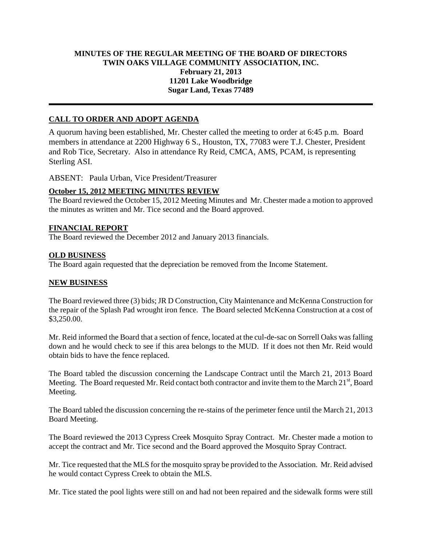## **MINUTES OF THE REGULAR MEETING OF THE BOARD OF DIRECTORS TWIN OAKS VILLAGE COMMUNITY ASSOCIATION, INC. February 21, 2013 11201 Lake Woodbridge Sugar Land, Texas 77489**

# **CALL TO ORDER AND ADOPT AGENDA**

A quorum having been established, Mr. Chester called the meeting to order at 6:45 p.m. Board members in attendance at 2200 Highway 6 S., Houston, TX, 77083 were T.J. Chester, President and Rob Tice, Secretary. Also in attendance Ry Reid, CMCA, AMS, PCAM, is representing Sterling ASI.

ABSENT: Paula Urban, Vice President/Treasurer

### **October 15, 2012 MEETING MINUTES REVIEW**

The Board reviewed the October 15, 2012 Meeting Minutes and Mr. Chester made a motion to approved the minutes as written and Mr. Tice second and the Board approved.

### **FINANCIAL REPORT**

The Board reviewed the December 2012 and January 2013 financials.

#### **OLD BUSINESS**

The Board again requested that the depreciation be removed from the Income Statement.

## **NEW BUSINESS**

The Board reviewed three (3) bids; JR D Construction, City Maintenance and McKenna Construction for the repair of the Splash Pad wrought iron fence. The Board selected McKenna Construction at a cost of \$3,250.00.

Mr. Reid informed the Board that a section of fence, located at the cul-de-sac on Sorrell Oaks was falling down and he would check to see if this area belongs to the MUD. If it does not then Mr. Reid would obtain bids to have the fence replaced.

The Board tabled the discussion concerning the Landscape Contract until the March 21, 2013 Board Meeting. The Board requested Mr. Reid contact both contractor and invite them to the March  $21<sup>st</sup>$ , Board Meeting.

The Board tabled the discussion concerning the re-stains of the perimeter fence until the March 21, 2013 Board Meeting.

The Board reviewed the 2013 Cypress Creek Mosquito Spray Contract. Mr. Chester made a motion to accept the contract and Mr. Tice second and the Board approved the Mosquito Spray Contract.

Mr. Tice requested that the MLS for the mosquito spray be provided to the Association. Mr. Reid advised he would contact Cypress Creek to obtain the MLS.

Mr. Tice stated the pool lights were still on and had not been repaired and the sidewalk forms were still